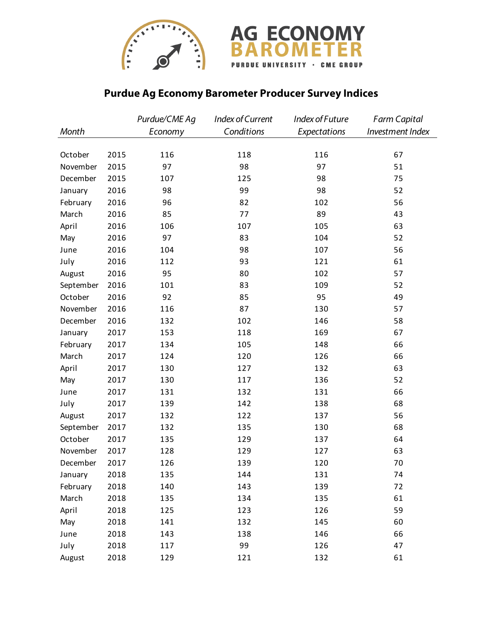



## **Purdue Ag Economy Barometer Producer Survey Indices**

|           |      | Purdue/CME Ag | Index of Current | Index of Future | <b>Farm Capital</b> |
|-----------|------|---------------|------------------|-----------------|---------------------|
| Month     |      | Economy       | Conditions       | Expectations    | Investment Index    |
|           |      |               |                  |                 |                     |
| October   | 2015 | 116           | 118              | 116             | 67                  |
| November  | 2015 | 97            | 98               | 97              | 51                  |
| December  | 2015 | 107           | 125              | 98              | 75                  |
| January   | 2016 | 98            | 99               | 98              | 52                  |
| February  | 2016 | 96            | 82               | 102             | 56                  |
| March     | 2016 | 85            | 77               | 89              | 43                  |
| April     | 2016 | 106           | 107              | 105             | 63                  |
| May       | 2016 | 97            | 83               | 104             | 52                  |
| June      | 2016 | 104           | 98               | 107             | 56                  |
| July      | 2016 | 112           | 93               | 121             | 61                  |
| August    | 2016 | 95            | 80               | 102             | 57                  |
| September | 2016 | 101           | 83               | 109             | 52                  |
| October   | 2016 | 92            | 85               | 95              | 49                  |
| November  | 2016 | 116           | 87               | 130             | 57                  |
| December  | 2016 | 132           | 102              | 146             | 58                  |
| January   | 2017 | 153           | 118              | 169             | 67                  |
| February  | 2017 | 134           | 105              | 148             | 66                  |
| March     | 2017 | 124           | 120              | 126             | 66                  |
| April     | 2017 | 130           | 127              | 132             | 63                  |
| May       | 2017 | 130           | 117              | 136             | 52                  |
| June      | 2017 | 131           | 132              | 131             | 66                  |
| July      | 2017 | 139           | 142              | 138             | 68                  |
| August    | 2017 | 132           | 122              | 137             | 56                  |
| September | 2017 | 132           | 135              | 130             | 68                  |
| October   | 2017 | 135           | 129              | 137             | 64                  |
| November  | 2017 | 128           | 129              | 127             | 63                  |
| December  | 2017 | 126           | 139              | 120             | 70                  |
| January   | 2018 | 135           | 144              | 131             | 74                  |
| February  | 2018 | 140           | 143              | 139             | 72                  |
| March     | 2018 | 135           | 134              | 135             | 61                  |
| April     | 2018 | 125           | 123              | 126             | 59                  |
| May       | 2018 | 141           | 132              | 145             | 60                  |
| June      | 2018 | 143           | 138              | 146             | 66                  |
| July      | 2018 | 117           | 99               | 126             | 47                  |
| August    | 2018 | 129           | 121              | 132             | 61                  |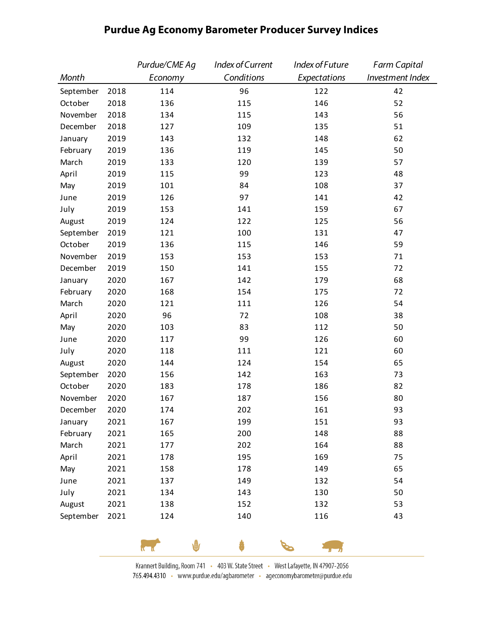|           |      | Purdue/CME Ag | Index of Current | Index of Future | <b>Farm Capital</b> |
|-----------|------|---------------|------------------|-----------------|---------------------|
| Month     |      | Economy       | Conditions       | Expectations    | Investment Index    |
| September | 2018 | 114           | 96               | 122             | 42                  |
| October   | 2018 | 136           | 115              | 146             | 52                  |
| November  | 2018 | 134           | 115              | 143             | 56                  |
| December  | 2018 | 127           | 109              | 135             | 51                  |
| January   | 2019 | 143           | 132              | 148             | 62                  |
| February  | 2019 | 136           | 119              | 145             | 50                  |
| March     | 2019 | 133           | 120              | 139             | 57                  |
| April     | 2019 | 115           | 99               | 123             | 48                  |
| May       | 2019 | 101           | 84               | 108             | 37                  |
| June      | 2019 | 126           | 97               | 141             | 42                  |
| July      | 2019 | 153           | 141              | 159             | 67                  |
| August    | 2019 | 124           | 122              | 125             | 56                  |
| September | 2019 | 121           | 100              | 131             | 47                  |
| October   | 2019 | 136           | 115              | 146             | 59                  |
| November  | 2019 | 153           | 153              | 153             | 71                  |
| December  | 2019 | 150           | 141              | 155             | 72                  |
| January   | 2020 | 167           | 142              | 179             | 68                  |
| February  | 2020 | 168           | 154              | 175             | 72                  |
| March     | 2020 | 121           | 111              | 126             | 54                  |
| April     | 2020 | 96            | 72               | 108             | 38                  |
| May       | 2020 | 103           | 83               | 112             | 50                  |
| June      | 2020 | 117           | 99               | 126             | 60                  |
| July      | 2020 | 118           | 111              | 121             | 60                  |
| August    | 2020 | 144           | 124              | 154             | 65                  |
| September | 2020 | 156           | 142              | 163             | 73                  |
| October   | 2020 | 183           | 178              | 186             | 82                  |
| November  | 2020 | 167           | 187              | 156             | 80                  |
| December  | 2020 | 174           | 202              | 161             | 93                  |
| January   | 2021 | 167           | 199              | 151             | 93                  |
| February  | 2021 | 165           | 200              | 148             | 88                  |
| March     | 2021 | 177           | 202              | 164             | 88                  |
| April     | 2021 | 178           | 195              | 169             | 75                  |
| May       | 2021 | 158           | 178              | 149             | 65                  |
| June      | 2021 | 137           | 149              | 132             | 54                  |
| July      | 2021 | 134           | 143              | 130             | 50                  |
| August    | 2021 | 138           | 152              | 132             | 53                  |
| September | 2021 | 124           | 140              | 116             | 43                  |

## **Purdue Ag Economy Barometer Producer Survey Indices**

Krannert Building, Room 741 · 403 W. State Street · West Lafayette, IN 47907-2056 765.494.4310 · www.purdue.edu/agbarometer · ageconomybarometer@purdue.edu

ô

P

 $\mathbf{L}_{\mathbf{u}}$ 

 $\sqrt{10}$ 

у